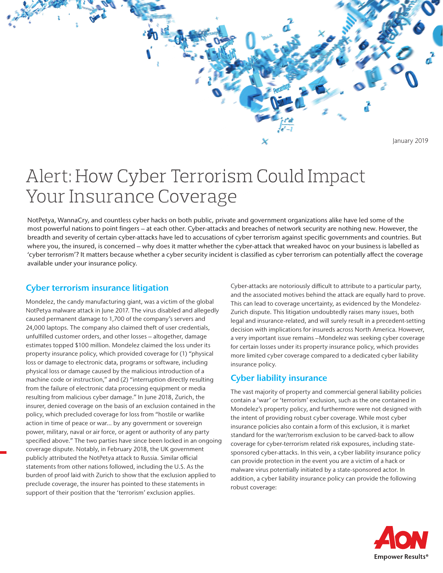

# Alert: How Cyber Terrorism Could Impact Your Insurance Coverage

NotPetya, WannaCry, and countless cyber hacks on both public, private and government organizations alike have led some of the most powerful nations to point fingers – at each other. Cyber-attacks and breaches of network security are nothing new. However, the breadth and severity of certain cyber-attacks have led to accusations of cyber terrorism against specific governments and countries. But where you, the insured, is concerned – why does it matter whether the cyber-attack that wreaked havoc on your business is labelled as 'cyber terrorism'? It matters because whether a cyber security incident is classified as cyber terrorism can potentially affect the coverage available under your insurance policy.

## Cyber terrorism insurance litigation

Mondelez, the candy manufacturing giant, was a victim of the global NotPetya malware attack in June 2017. The virus disabled and allegedly caused permanent damage to 1,700 of the company's servers and 24,000 laptops. The company also claimed theft of user credentials, unfulfilled customer orders, and other losses - altogether, damage estimates topped \$100 million. Mondelez claimed the loss under its property insurance policy, which provided coverage for (1) "physical loss or damage to electronic data, programs or software, including physical loss or damage caused by the malicious introduction of a machine code or instruction," and (2) "interruption directly resulting from the failure of electronic data processing equipment or media resulting from malicious cyber damage." In June 2018, Zurich, the insurer, denied coverage on the basis of an exclusion contained in the policy, which precluded coverage for loss from "hostile or warlike action in time of peace or war… by any government or sovereign power, military, naval or air force, or agent or authority of any party specified above." The two parties have since been locked in an ongoing coverage dispute. Notably, in February 2018, the UK government publicly attributed the NotPetya attack to Russia. Similar official statements from other nations followed, including the U.S. As the burden of proof laid with Zurich to show that the exclusion applied to preclude coverage, the insurer has pointed to these statements in support of their position that the 'terrorism' exclusion applies.

Cyber-attacks are notoriously difficult to attribute to a particular party, and the associated motives behind the attack are equally hard to prove. This can lead to coverage uncertainty, as evidenced by the Mondelez-Zurich dispute. This litigation undoubtedly raises many issues, both legal and insurance-related, and will surely result in a precedent-setting decision with implications for insureds across North America. However, a very important issue remains –Mondelez was seeking cyber coverage for certain losses under its property insurance policy, which provides more limited cyber coverage compared to a dedicated cyber liability insurance policy.

# Cyber liability insurance

The vast majority of property and commercial general liability policies contain a 'war' or 'terrorism' exclusion, such as the one contained in Mondelez's property policy, and furthermore were not designed with the intent of providing robust cyber coverage. While most cyber insurance policies also contain a form of this exclusion, it is market standard for the war/terrorism exclusion to be carved-back to allow coverage for cyber-terrorism related risk exposures, including statesponsored cyber-attacks. In this vein, a cyber liability insurance policy can provide protection in the event you are a victim of a hack or malware virus potentially initiated by a state-sponsored actor. In addition, a cyber liability insurance policy can provide the following robust coverage: